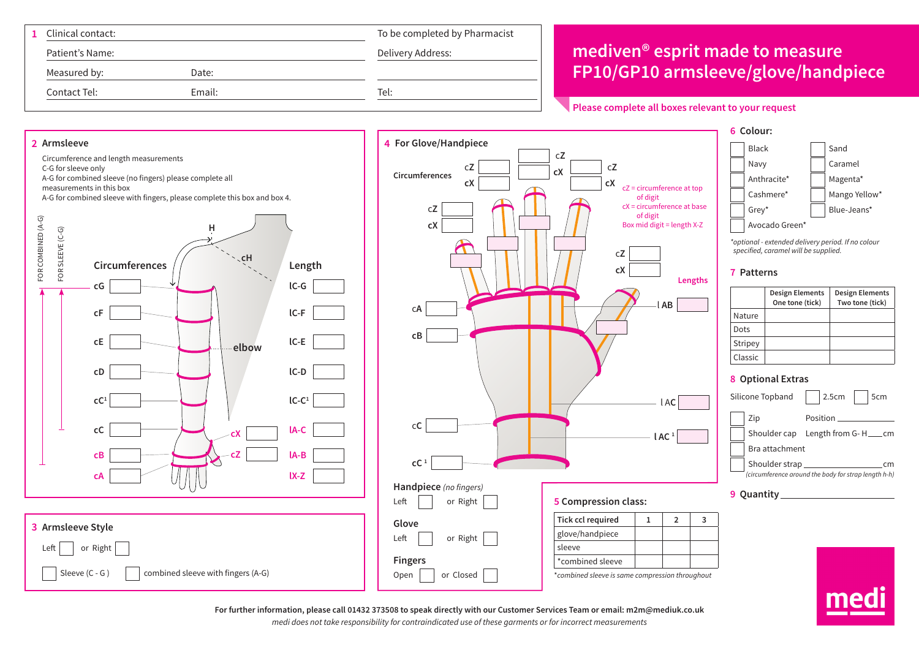| Clinical contact:      | To be completed by Pharmacist |                                                    |
|------------------------|-------------------------------|----------------------------------------------------|
| Patient's Name:        | Delivery Address:             | mediven <sup>®</sup> esprit made to measure        |
| Measured by:<br>Date:  |                               | <b>FP10/GP10 armsleeve/glove/handpiece</b>         |
| Contact Tel:<br>Email: | Tel:                          |                                                    |
|                        |                               | Please complete all boxes relevant to your request |



**For further information, please call 01432 373508 to speak directly with our Customer Services Team or email: m2m@mediuk.co.uk**

*medi does not take responsibility for contraindicated use of these garments or for incorrect measurements*